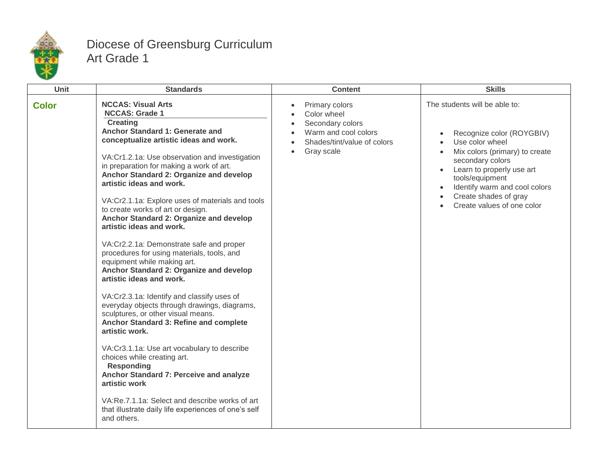

## Diocese of Greensburg Curriculum Art Grade 1

| <b>Unit</b>  | <b>Standards</b>                                                                                                                                                                                                                                                                                                                                                                                                                                                                                                                                                                                                                                                                                                                                                                                                                                                                                                                                                                                                                                                                                                                                                                | <b>Content</b>                                                                                                         | <b>Skills</b>                                                                                                                                                                                                                                                               |
|--------------|---------------------------------------------------------------------------------------------------------------------------------------------------------------------------------------------------------------------------------------------------------------------------------------------------------------------------------------------------------------------------------------------------------------------------------------------------------------------------------------------------------------------------------------------------------------------------------------------------------------------------------------------------------------------------------------------------------------------------------------------------------------------------------------------------------------------------------------------------------------------------------------------------------------------------------------------------------------------------------------------------------------------------------------------------------------------------------------------------------------------------------------------------------------------------------|------------------------------------------------------------------------------------------------------------------------|-----------------------------------------------------------------------------------------------------------------------------------------------------------------------------------------------------------------------------------------------------------------------------|
| <b>Color</b> | <b>NCCAS: Visual Arts</b><br><b>NCCAS: Grade 1</b><br><b>Creating</b><br>Anchor Standard 1: Generate and<br>conceptualize artistic ideas and work.<br>VA:Cr1.2.1a: Use observation and investigation<br>in preparation for making a work of art.<br>Anchor Standard 2: Organize and develop<br>artistic ideas and work.<br>VA:Cr2.1.1a: Explore uses of materials and tools<br>to create works of art or design.<br>Anchor Standard 2: Organize and develop<br>artistic ideas and work.<br>VA:Cr2.2.1a: Demonstrate safe and proper<br>procedures for using materials, tools, and<br>equipment while making art.<br>Anchor Standard 2: Organize and develop<br>artistic ideas and work.<br>VA:Cr2.3.1a: Identify and classify uses of<br>everyday objects through drawings, diagrams,<br>sculptures, or other visual means.<br>Anchor Standard 3: Refine and complete<br>artistic work.<br>VA:Cr3.1.1a: Use art vocabulary to describe<br>choices while creating art.<br><b>Responding</b><br>Anchor Standard 7: Perceive and analyze<br>artistic work<br>VA:Re.7.1.1a: Select and describe works of art<br>that illustrate daily life experiences of one's self<br>and others. | Primary colors<br>Color wheel<br>Secondary colors<br>Warm and cool colors<br>Shades/tint/value of colors<br>Gray scale | The students will be able to:<br>Recognize color (ROYGBIV)<br>Use color wheel<br>Mix colors (primary) to create<br>secondary colors<br>Learn to properly use art<br>tools/equipment<br>Identify warm and cool colors<br>Create shades of gray<br>Create values of one color |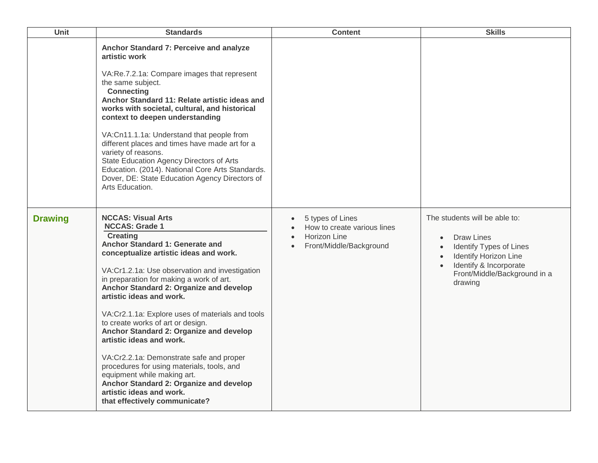| Unit           | <b>Standards</b>                                                                                                                                                                                                                                                                                                                                                                                                                                                                                                                                                                                                                                                                                                         | <b>Content</b>                                                                                          | <b>Skills</b>                                                                                                                                                                            |
|----------------|--------------------------------------------------------------------------------------------------------------------------------------------------------------------------------------------------------------------------------------------------------------------------------------------------------------------------------------------------------------------------------------------------------------------------------------------------------------------------------------------------------------------------------------------------------------------------------------------------------------------------------------------------------------------------------------------------------------------------|---------------------------------------------------------------------------------------------------------|------------------------------------------------------------------------------------------------------------------------------------------------------------------------------------------|
|                | Anchor Standard 7: Perceive and analyze<br>artistic work<br>VA:Re.7.2.1a: Compare images that represent<br>the same subject.<br><b>Connecting</b><br>Anchor Standard 11: Relate artistic ideas and<br>works with societal, cultural, and historical<br>context to deepen understanding<br>VA:Cn11.1.1a: Understand that people from<br>different places and times have made art for a<br>variety of reasons.<br>State Education Agency Directors of Arts<br>Education. (2014). National Core Arts Standards.<br>Dover, DE: State Education Agency Directors of<br>Arts Education.                                                                                                                                        |                                                                                                         |                                                                                                                                                                                          |
| <b>Drawing</b> | <b>NCCAS: Visual Arts</b><br><b>NCCAS: Grade 1</b><br><b>Creating</b><br>Anchor Standard 1: Generate and<br>conceptualize artistic ideas and work.<br>VA:Cr1.2.1a: Use observation and investigation<br>in preparation for making a work of art.<br>Anchor Standard 2: Organize and develop<br>artistic ideas and work.<br>VA:Cr2.1.1a: Explore uses of materials and tools<br>to create works of art or design.<br>Anchor Standard 2: Organize and develop<br>artistic ideas and work.<br>VA:Cr2.2.1a: Demonstrate safe and proper<br>procedures for using materials, tools, and<br>equipment while making art.<br>Anchor Standard 2: Organize and develop<br>artistic ideas and work.<br>that effectively communicate? | 5 types of Lines<br>How to create various lines<br>Horizon Line<br>$\bullet$<br>Front/Middle/Background | The students will be able to:<br>Draw Lines<br>$\bullet$<br>Identify Types of Lines<br><b>Identify Horizon Line</b><br>Identify & Incorporate<br>Front/Middle/Background in a<br>drawing |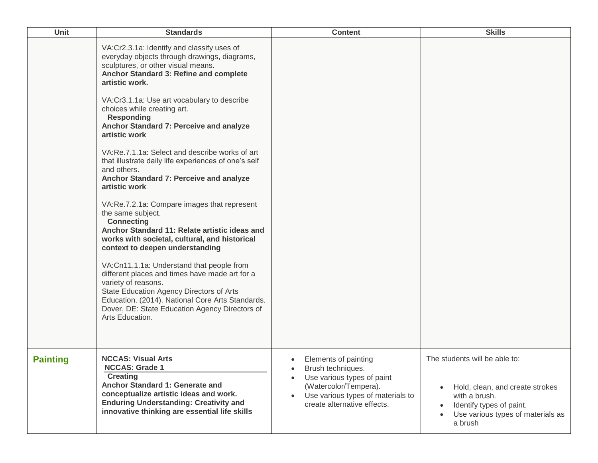| <b>Unit</b>     | <b>Standards</b>                                                                                                                                                                                                                                                                                                                                                                                                                                                                                                                                                                                                                                                                                                                                                                                                                                                                                                                                                                                                                                                          | <b>Content</b>                                                                                                                                                                    | <b>Skills</b>                                                                                                                                                 |
|-----------------|---------------------------------------------------------------------------------------------------------------------------------------------------------------------------------------------------------------------------------------------------------------------------------------------------------------------------------------------------------------------------------------------------------------------------------------------------------------------------------------------------------------------------------------------------------------------------------------------------------------------------------------------------------------------------------------------------------------------------------------------------------------------------------------------------------------------------------------------------------------------------------------------------------------------------------------------------------------------------------------------------------------------------------------------------------------------------|-----------------------------------------------------------------------------------------------------------------------------------------------------------------------------------|---------------------------------------------------------------------------------------------------------------------------------------------------------------|
|                 | VA:Cr2.3.1a: Identify and classify uses of<br>everyday objects through drawings, diagrams,<br>sculptures, or other visual means.<br>Anchor Standard 3: Refine and complete<br>artistic work.<br>VA:Cr3.1.1a: Use art vocabulary to describe<br>choices while creating art.<br><b>Responding</b><br>Anchor Standard 7: Perceive and analyze<br>artistic work<br>VA:Re.7.1.1a: Select and describe works of art<br>that illustrate daily life experiences of one's self<br>and others.<br>Anchor Standard 7: Perceive and analyze<br>artistic work<br>VA:Re.7.2.1a: Compare images that represent<br>the same subject.<br><b>Connecting</b><br>Anchor Standard 11: Relate artistic ideas and<br>works with societal, cultural, and historical<br>context to deepen understanding<br>VA:Cn11.1.1a: Understand that people from<br>different places and times have made art for a<br>variety of reasons.<br>State Education Agency Directors of Arts<br>Education. (2014). National Core Arts Standards.<br>Dover, DE: State Education Agency Directors of<br>Arts Education. |                                                                                                                                                                                   |                                                                                                                                                               |
| <b>Painting</b> | <b>NCCAS: Visual Arts</b><br><b>NCCAS: Grade 1</b><br><b>Creating</b><br>Anchor Standard 1: Generate and<br>conceptualize artistic ideas and work.<br><b>Enduring Understanding: Creativity and</b><br>innovative thinking are essential life skills                                                                                                                                                                                                                                                                                                                                                                                                                                                                                                                                                                                                                                                                                                                                                                                                                      | Elements of painting<br>$\bullet$<br>Brush techniques.<br>Use various types of paint<br>(Watercolor/Tempera).<br>Use various types of materials to<br>create alternative effects. | The students will be able to:<br>Hold, clean, and create strokes<br>with a brush.<br>Identify types of paint.<br>Use various types of materials as<br>a brush |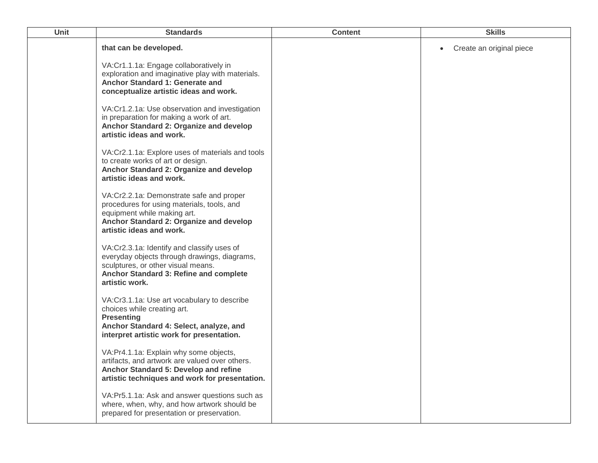| Unit | <b>Standards</b>                                                                                                                                                                             | <b>Content</b> | <b>Skills</b>                         |
|------|----------------------------------------------------------------------------------------------------------------------------------------------------------------------------------------------|----------------|---------------------------------------|
|      | that can be developed.                                                                                                                                                                       |                | Create an original piece<br>$\bullet$ |
|      | VA:Cr1.1.1a: Engage collaboratively in<br>exploration and imaginative play with materials.<br>Anchor Standard 1: Generate and<br>conceptualize artistic ideas and work.                      |                |                                       |
|      | VA:Cr1.2.1a: Use observation and investigation<br>in preparation for making a work of art.<br>Anchor Standard 2: Organize and develop<br>artistic ideas and work.                            |                |                                       |
|      | VA:Cr2.1.1a: Explore uses of materials and tools<br>to create works of art or design.<br>Anchor Standard 2: Organize and develop<br>artistic ideas and work.                                 |                |                                       |
|      | VA:Cr2.2.1a: Demonstrate safe and proper<br>procedures for using materials, tools, and<br>equipment while making art.<br>Anchor Standard 2: Organize and develop<br>artistic ideas and work. |                |                                       |
|      | VA:Cr2.3.1a: Identify and classify uses of<br>everyday objects through drawings, diagrams,<br>sculptures, or other visual means.<br>Anchor Standard 3: Refine and complete<br>artistic work. |                |                                       |
|      | VA:Cr3.1.1a: Use art vocabulary to describe<br>choices while creating art.<br><b>Presenting</b><br>Anchor Standard 4: Select, analyze, and<br>interpret artistic work for presentation.      |                |                                       |
|      | VA: Pr4.1.1a: Explain why some objects,<br>artifacts, and artwork are valued over others.<br>Anchor Standard 5: Develop and refine<br>artistic techniques and work for presentation.         |                |                                       |
|      | VA:Pr5.1.1a: Ask and answer questions such as<br>where, when, why, and how artwork should be<br>prepared for presentation or preservation.                                                   |                |                                       |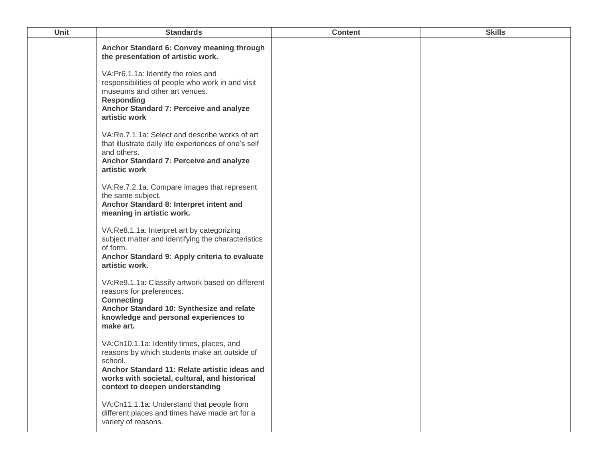| <b>Unit</b> | <b>Standards</b>                                                                                                                                                                                                                           | <b>Content</b> | <b>Skills</b> |
|-------------|--------------------------------------------------------------------------------------------------------------------------------------------------------------------------------------------------------------------------------------------|----------------|---------------|
|             | Anchor Standard 6: Convey meaning through<br>the presentation of artistic work.                                                                                                                                                            |                |               |
|             | VA:Pr6.1.1a: Identify the roles and<br>responsibilities of people who work in and visit<br>museums and other art venues.<br><b>Responding</b><br>Anchor Standard 7: Perceive and analyze<br>artistic work                                  |                |               |
|             | VA:Re.7.1.1a: Select and describe works of art<br>that illustrate daily life experiences of one's self<br>and others.<br>Anchor Standard 7: Perceive and analyze<br>artistic work                                                          |                |               |
|             | VA:Re.7.2.1a: Compare images that represent<br>the same subject.<br>Anchor Standard 8: Interpret intent and<br>meaning in artistic work.                                                                                                   |                |               |
|             | VA:Re8.1.1a: Interpret art by categorizing<br>subject matter and identifying the characteristics<br>of form.<br>Anchor Standard 9: Apply criteria to evaluate<br>artistic work.                                                            |                |               |
|             | VA:Re9.1.1a: Classify artwork based on different<br>reasons for preferences.<br><b>Connecting</b><br>Anchor Standard 10: Synthesize and relate<br>knowledge and personal experiences to<br>make art.                                       |                |               |
|             | VA:Cn10.1.1a: Identify times, places, and<br>reasons by which students make art outside of<br>school.<br>Anchor Standard 11: Relate artistic ideas and<br>works with societal, cultural, and historical<br>context to deepen understanding |                |               |
|             | VA:Cn11.1.1a: Understand that people from<br>different places and times have made art for a<br>variety of reasons.                                                                                                                         |                |               |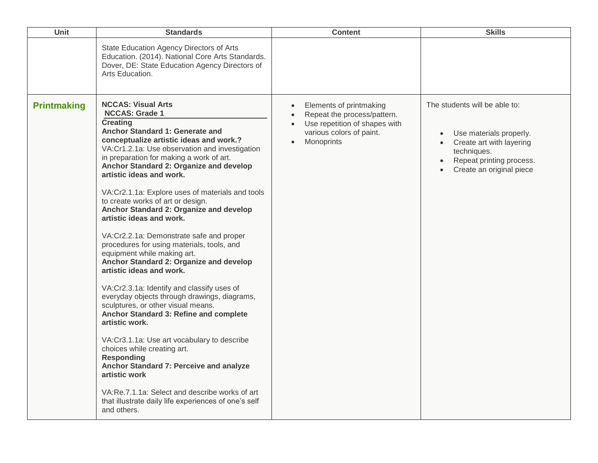| State Education Agency Directors of Arts<br>Education. (2014). National Core Arts Standards.<br>Dover, DE: State Education Agency Directors of<br>Arts Education.<br><b>NCCAS: Visual Arts</b><br>The students will be able to:<br><b>Printmaking</b><br>Elements of printmaking<br>$\bullet$<br><b>NCCAS: Grade 1</b><br>Repeat the process/pattern.<br>$\bullet$<br><b>Creating</b><br>Use repetition of shapes with<br>$\bullet$<br>Anchor Standard 1: Generate and<br>various colors of paint.<br>Use materials properly.<br>conceptualize artistic ideas and work.?<br>Monoprints<br>Create art with layering<br>$\bullet$<br>VA:Cr1.2.1a: Use observation and investigation<br>techniques.<br>in preparation for making a work of art.<br>Repeat printing process.<br>$\bullet$<br>Anchor Standard 2: Organize and develop<br>Create an original piece<br>artistic ideas and work.<br>VA:Cr2.1.1a: Explore uses of materials and tools<br>to create works of art or design.<br>Anchor Standard 2: Organize and develop<br>artistic ideas and work.<br>VA:Cr2.2.1a: Demonstrate safe and proper<br>procedures for using materials, tools, and<br>equipment while making art.<br>Anchor Standard 2: Organize and develop<br>artistic ideas and work.<br>VA:Cr2.3.1a: Identify and classify uses of<br>everyday objects through drawings, diagrams,<br>sculptures, or other visual means.<br>Anchor Standard 3: Refine and complete<br>artistic work.<br>VA:Cr3.1.1a: Use art vocabulary to describe<br>choices while creating art.<br><b>Responding</b><br>Anchor Standard 7: Perceive and analyze<br>artistic work<br>VA:Re.7.1.1a: Select and describe works of art<br>that illustrate daily life experiences of one's self<br>and others. | <b>Unit</b> | <b>Standards</b> | <b>Content</b> | <b>Skills</b> |
|--------------------------------------------------------------------------------------------------------------------------------------------------------------------------------------------------------------------------------------------------------------------------------------------------------------------------------------------------------------------------------------------------------------------------------------------------------------------------------------------------------------------------------------------------------------------------------------------------------------------------------------------------------------------------------------------------------------------------------------------------------------------------------------------------------------------------------------------------------------------------------------------------------------------------------------------------------------------------------------------------------------------------------------------------------------------------------------------------------------------------------------------------------------------------------------------------------------------------------------------------------------------------------------------------------------------------------------------------------------------------------------------------------------------------------------------------------------------------------------------------------------------------------------------------------------------------------------------------------------------------------------------------------------------------------------------------------------------------------------------------|-------------|------------------|----------------|---------------|
|                                                                                                                                                                                                                                                                                                                                                                                                                                                                                                                                                                                                                                                                                                                                                                                                                                                                                                                                                                                                                                                                                                                                                                                                                                                                                                                                                                                                                                                                                                                                                                                                                                                                                                                                                  |             |                  |                |               |
|                                                                                                                                                                                                                                                                                                                                                                                                                                                                                                                                                                                                                                                                                                                                                                                                                                                                                                                                                                                                                                                                                                                                                                                                                                                                                                                                                                                                                                                                                                                                                                                                                                                                                                                                                  |             |                  |                |               |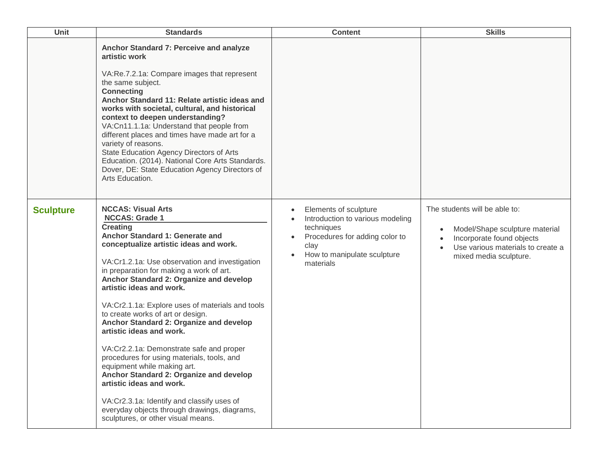| Unit             | <b>Standards</b>                                                                                                                                                                                                                                                                                                                                                                                                                                                                                                                                                                                                                                                                                                                                                                                                            | <b>Content</b>                                                                                                                                                                                                    | <b>Skills</b>                                                                                                                                               |
|------------------|-----------------------------------------------------------------------------------------------------------------------------------------------------------------------------------------------------------------------------------------------------------------------------------------------------------------------------------------------------------------------------------------------------------------------------------------------------------------------------------------------------------------------------------------------------------------------------------------------------------------------------------------------------------------------------------------------------------------------------------------------------------------------------------------------------------------------------|-------------------------------------------------------------------------------------------------------------------------------------------------------------------------------------------------------------------|-------------------------------------------------------------------------------------------------------------------------------------------------------------|
|                  | Anchor Standard 7: Perceive and analyze<br>artistic work<br>VA:Re.7.2.1a: Compare images that represent<br>the same subject.<br><b>Connecting</b><br>Anchor Standard 11: Relate artistic ideas and<br>works with societal, cultural, and historical<br>context to deepen understanding?<br>VA:Cn11.1.1a: Understand that people from<br>different places and times have made art for a<br>variety of reasons.<br>State Education Agency Directors of Arts<br>Education. (2014). National Core Arts Standards.<br>Dover, DE: State Education Agency Directors of<br>Arts Education.                                                                                                                                                                                                                                          |                                                                                                                                                                                                                   |                                                                                                                                                             |
| <b>Sculpture</b> | <b>NCCAS: Visual Arts</b><br><b>NCCAS: Grade 1</b><br><b>Creating</b><br>Anchor Standard 1: Generate and<br>conceptualize artistic ideas and work.<br>VA:Cr1.2.1a: Use observation and investigation<br>in preparation for making a work of art.<br>Anchor Standard 2: Organize and develop<br>artistic ideas and work.<br>VA:Cr2.1.1a: Explore uses of materials and tools<br>to create works of art or design.<br>Anchor Standard 2: Organize and develop<br>artistic ideas and work.<br>VA:Cr2.2.1a: Demonstrate safe and proper<br>procedures for using materials, tools, and<br>equipment while making art.<br>Anchor Standard 2: Organize and develop<br>artistic ideas and work.<br>VA:Cr2.3.1a: Identify and classify uses of<br>everyday objects through drawings, diagrams,<br>sculptures, or other visual means. | Elements of sculpture<br>$\bullet$<br>Introduction to various modeling<br>$\bullet$<br>techniques<br>Procedures for adding color to<br>$\bullet$<br>clay<br>How to manipulate sculpture<br>$\bullet$<br>materials | The students will be able to:<br>Model/Shape sculpture material<br>Incorporate found objects<br>Use various materials to create a<br>mixed media sculpture. |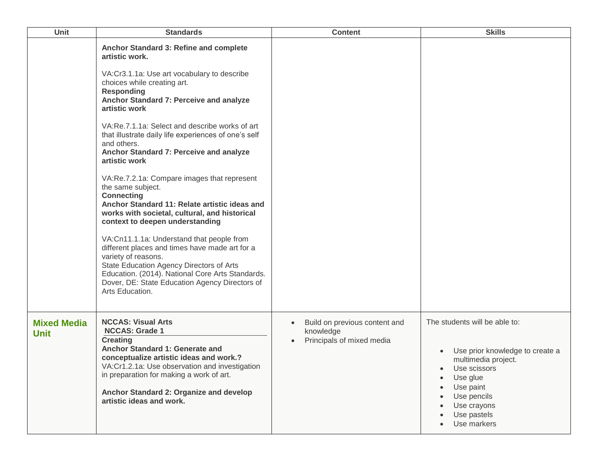| <b>Unit</b>                       | <b>Standards</b>                                                                                                                                                                                                                                                                                                                                                                                                                                                                                                                                                                                                                                                                                                                                                                                                                                                                                                                      | <b>Content</b>                                                                                    | <b>Skills</b>                                                                                                                                                                                                                       |
|-----------------------------------|---------------------------------------------------------------------------------------------------------------------------------------------------------------------------------------------------------------------------------------------------------------------------------------------------------------------------------------------------------------------------------------------------------------------------------------------------------------------------------------------------------------------------------------------------------------------------------------------------------------------------------------------------------------------------------------------------------------------------------------------------------------------------------------------------------------------------------------------------------------------------------------------------------------------------------------|---------------------------------------------------------------------------------------------------|-------------------------------------------------------------------------------------------------------------------------------------------------------------------------------------------------------------------------------------|
|                                   | Anchor Standard 3: Refine and complete<br>artistic work.<br>VA:Cr3.1.1a: Use art vocabulary to describe<br>choices while creating art.<br><b>Responding</b><br>Anchor Standard 7: Perceive and analyze<br>artistic work<br>VA:Re.7.1.1a: Select and describe works of art<br>that illustrate daily life experiences of one's self<br>and others.<br>Anchor Standard 7: Perceive and analyze<br>artistic work<br>VA:Re.7.2.1a: Compare images that represent<br>the same subject.<br><b>Connecting</b><br>Anchor Standard 11: Relate artistic ideas and<br>works with societal, cultural, and historical<br>context to deepen understanding<br>VA:Cn11.1.1a: Understand that people from<br>different places and times have made art for a<br>variety of reasons.<br>State Education Agency Directors of Arts<br>Education. (2014). National Core Arts Standards.<br>Dover, DE: State Education Agency Directors of<br>Arts Education. |                                                                                                   |                                                                                                                                                                                                                                     |
| <b>Mixed Media</b><br><b>Unit</b> | <b>NCCAS: Visual Arts</b><br><b>NCCAS: Grade 1</b><br><b>Creating</b><br>Anchor Standard 1: Generate and<br>conceptualize artistic ideas and work.?<br>VA:Cr1.2.1a: Use observation and investigation<br>in preparation for making a work of art.<br>Anchor Standard 2: Organize and develop<br>artistic ideas and work.                                                                                                                                                                                                                                                                                                                                                                                                                                                                                                                                                                                                              | Build on previous content and<br>$\bullet$<br>knowledge<br>Principals of mixed media<br>$\bullet$ | The students will be able to:<br>Use prior knowledge to create a<br>multimedia project.<br>Use scissors<br>$\bullet$<br>Use glue<br>Use paint<br>Use pencils<br>Use crayons<br>Use pastels<br>$\bullet$<br>Use markers<br>$\bullet$ |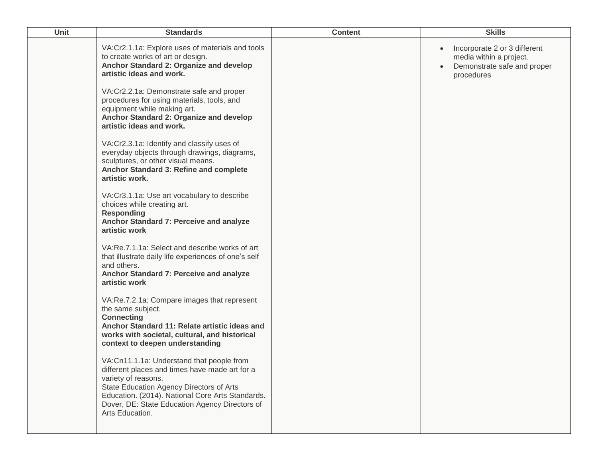| <b>Unit</b> | <b>Standards</b>                                                                                                                                                                                                                                                                        | <b>Content</b> | <b>Skills</b>                                                                                        |
|-------------|-----------------------------------------------------------------------------------------------------------------------------------------------------------------------------------------------------------------------------------------------------------------------------------------|----------------|------------------------------------------------------------------------------------------------------|
|             | VA:Cr2.1.1a: Explore uses of materials and tools<br>to create works of art or design.<br>Anchor Standard 2: Organize and develop<br>artistic ideas and work.                                                                                                                            |                | Incorporate 2 or 3 different<br>media within a project.<br>Demonstrate safe and proper<br>procedures |
|             | VA:Cr2.2.1a: Demonstrate safe and proper<br>procedures for using materials, tools, and<br>equipment while making art.<br>Anchor Standard 2: Organize and develop<br>artistic ideas and work.                                                                                            |                |                                                                                                      |
|             | VA:Cr2.3.1a: Identify and classify uses of<br>everyday objects through drawings, diagrams,<br>sculptures, or other visual means.<br>Anchor Standard 3: Refine and complete<br>artistic work.                                                                                            |                |                                                                                                      |
|             | VA:Cr3.1.1a: Use art vocabulary to describe<br>choices while creating art.<br><b>Responding</b><br>Anchor Standard 7: Perceive and analyze<br>artistic work                                                                                                                             |                |                                                                                                      |
|             | VA: Re. 7.1.1a: Select and describe works of art<br>that illustrate daily life experiences of one's self<br>and others.<br>Anchor Standard 7: Perceive and analyze<br>artistic work                                                                                                     |                |                                                                                                      |
|             | VA:Re.7.2.1a: Compare images that represent<br>the same subject.<br><b>Connecting</b><br>Anchor Standard 11: Relate artistic ideas and<br>works with societal, cultural, and historical<br>context to deepen understanding                                                              |                |                                                                                                      |
|             | VA:Cn11.1.1a: Understand that people from<br>different places and times have made art for a<br>variety of reasons.<br>State Education Agency Directors of Arts<br>Education. (2014). National Core Arts Standards.<br>Dover, DE: State Education Agency Directors of<br>Arts Education. |                |                                                                                                      |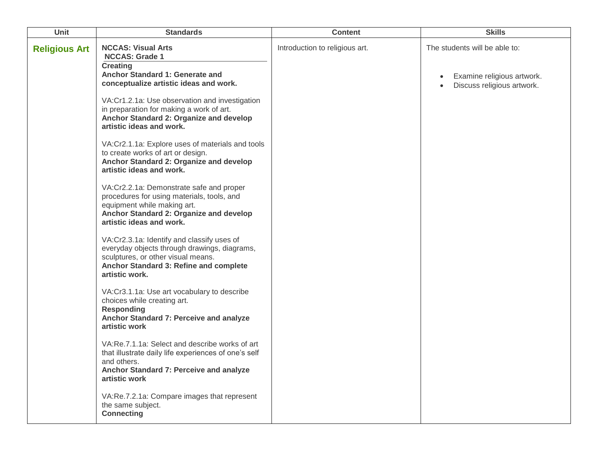| Unit                 | <b>Standards</b>                                                                                                                                                                             | <b>Content</b>                 | <b>Skills</b>                                            |
|----------------------|----------------------------------------------------------------------------------------------------------------------------------------------------------------------------------------------|--------------------------------|----------------------------------------------------------|
| <b>Religious Art</b> | <b>NCCAS: Visual Arts</b><br><b>NCCAS: Grade 1</b>                                                                                                                                           | Introduction to religious art. | The students will be able to:                            |
|                      | <b>Creating</b><br>Anchor Standard 1: Generate and<br>conceptualize artistic ideas and work.                                                                                                 |                                | Examine religious artwork.<br>Discuss religious artwork. |
|                      | VA:Cr1.2.1a: Use observation and investigation<br>in preparation for making a work of art.<br>Anchor Standard 2: Organize and develop<br>artistic ideas and work.                            |                                |                                                          |
|                      | VA:Cr2.1.1a: Explore uses of materials and tools<br>to create works of art or design.<br>Anchor Standard 2: Organize and develop<br>artistic ideas and work.                                 |                                |                                                          |
|                      | VA:Cr2.2.1a: Demonstrate safe and proper<br>procedures for using materials, tools, and<br>equipment while making art.<br>Anchor Standard 2: Organize and develop<br>artistic ideas and work. |                                |                                                          |
|                      | VA:Cr2.3.1a: Identify and classify uses of<br>everyday objects through drawings, diagrams,<br>sculptures, or other visual means.<br>Anchor Standard 3: Refine and complete<br>artistic work. |                                |                                                          |
|                      | VA:Cr3.1.1a: Use art vocabulary to describe<br>choices while creating art.<br><b>Responding</b><br>Anchor Standard 7: Perceive and analyze<br>artistic work                                  |                                |                                                          |
|                      | VA:Re.7.1.1a: Select and describe works of art<br>that illustrate daily life experiences of one's self<br>and others.<br>Anchor Standard 7: Perceive and analyze<br>artistic work            |                                |                                                          |
|                      | VA:Re.7.2.1a: Compare images that represent<br>the same subject.<br><b>Connecting</b>                                                                                                        |                                |                                                          |